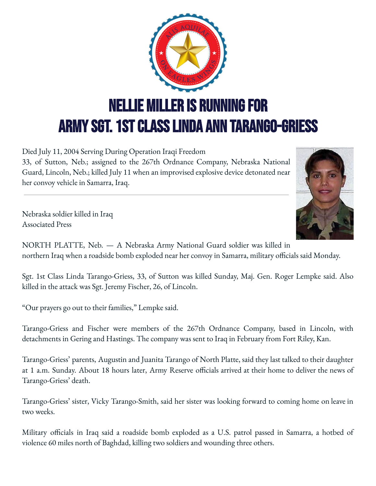

Died July 11, 2004 Serving During Operation Iraqi Freedom 33, of Sutton, Neb.; assigned to the 267th Ordnance Company, Nebraska National Guard, Lincoln, Neb.; killed July 11 when an improvised explosive device detonated near her convoy vehicle in Samarra, Iraq.



Nebraska soldier killed in Iraq Associated Press

NORTH PLATTE, Neb. — A Nebraska Army National Guard soldier was killed in northern Iraq when a roadside bomb exploded near her convoy in Samarra, military officials said Monday.

Sgt. 1st Class Linda Tarango-Griess, 33, of Sutton was killed Sunday, Maj. Gen. Roger Lempke said. Also killed in the attack was Sgt. Jeremy Fischer, 26, of Lincoln.

"Our prayers go out to their families," Lempke said.

Tarango-Griess and Fischer were members of the 267th Ordnance Company, based in Lincoln, with detachments in Gering and Hastings. The company was sent to Iraq in February from Fort Riley, Kan.

Tarango-Griess' parents, Augustin and Juanita Tarango of North Platte, said they last talked to their daughter at 1 a.m. Sunday. About 18 hours later, Army Reserve officials arrived at their home to deliver the news of Tarango-Griess' death.

Tarango-Griess' sister, Vicky Tarango-Smith, said her sister was looking forward to coming home on leave in two weeks.

Military officials in Iraq said a roadside bomb exploded as a U.S. patrol passed in Samarra, a hotbed of violence 60 miles north of Baghdad, killing two soldiers and wounding three others.